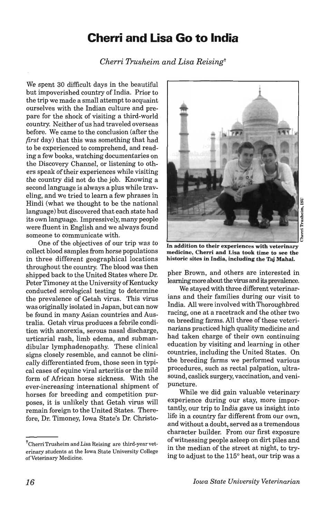## **Cherri and Lisa Go to India**

*Cherri Trusheim and Lisa Reisingt* 

We spent 30 difficult days in the beautiful but impoverished country of India. Prior to the trip we made a small attempt to acquaint ourselves with the Indian culture and prepare for the shock of visiting a third-world country. Neither of us had traveled overseas before. We came to the conclusion (after the *first* day) that this was something that had to be experienced to comprehend, and reading a few books, watching documentaries on the Discovery Channel, or listening to others speak of their experiences while visiting the country did not do the job. Knowing a second language is always a plus while traveling, and we tried to learn a few phrases in Hindi (what we thought to be the national language) but discovered that each state had its own language. Impressively, many people were fluent in English and we always found someone to communicate with.

One of the objectives of our trip was to collect blood samples from horse populations in three different geographical locations throughout the country. The blood was then shipped back to the United States where Dr. Peter Timoney at the University of Kentucky conducted serological testing to determine the prevalence of Getah virus. This virus was originally isolated in Japan, but can now be found in many Asian countries and Australia. Getah virus produces a febrile condition with anorexia, serous nasal discharge, urticarial rash, limb edema, and submandibular lymphadenopathy. These clinical signs closely resemble, and cannot be clinically differentiated from, those seen in typical cases of equine viral arteritis or the mild form of Mrican horse sickness. With the ever-increasing international shipment of horses for breeding and competition purposes, it is unlikely that Getah virus will remain foreign to the United States. Therefore, Dr. Timoney, Iowa State's Dr. Christo-



.§ rri Trushei "

In addition to their experiences with veterinary medicine, Cherri and Lisa took time to see the historic sites in India, including the Taj Mahal.

pher Brown, and others are interested in learning more about the virus and its prevalence.

We stayed with three different veterinarians and their families during our visit to India. All were involved with Thoroughbred racing, one at a racetrack and the other two on breeding farms. All three of these veterinarians practiced high quality medicine and had taken charge of their own continuing education by visiting and learning in other countries, including the United States. On the breeding farms we performed various procedures, such as rectal palpation, ultrasound, caslick surgery, vaccination, and venipuncture.

While we did gain valuable veterinary experience during our stay, more importantly, our trip to India gave us insight into life in a country far different from our own, and without a doubt, served as a tremendous character builder. From our first exposure of witnessing people asleep on dirt piles and in the median of the street at night, to trying to adjust to the 115° heat, our trip was a

<sup>&</sup>lt;sup>†</sup>Cherri Trusheim and Lisa Reising are third-year veterinary students at the Iowa State University College of Veterinary Medicine.